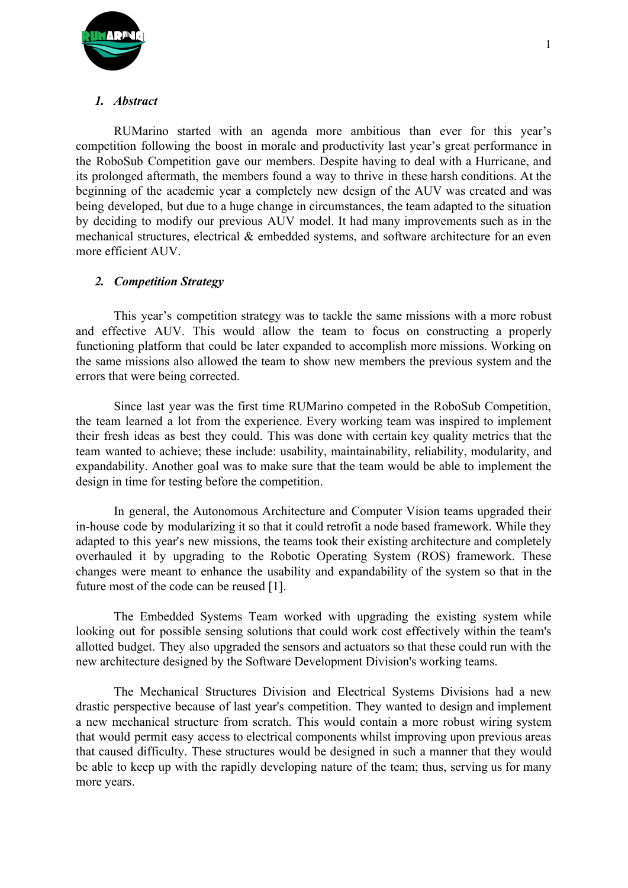

## *1. Abstract*

RUMarino started with an agenda more ambitious than ever for this year's competition following the boost in morale and productivity last year's great performance in the RoboSub Competition gave our members. Despite having to deal with a Hurricane, and its prolonged aftermath, the members found a way to thrive in these harsh conditions. At the beginning of the academic year a completely new design of the AUV was created and was being developed, but due to a huge change in circumstances, the team adapted to the situation by deciding to modify our previous AUV model. It had many improvements such as in the mechanical structures, electrical & embedded systems, and software architecture for an even more efficient AUV.

## *2. Competition Strategy*

This year's competition strategy was to tackle the same missions with a more robust and effective AUV. This would allow the team to focus on constructing a properly functioning platform that could be later expanded to accomplish more missions. Working on the same missions also allowed the team to show new members the previous system and the errors that were being corrected.

Since last year was the first time RUMarino competed in the RoboSub Competition, the team learned a lot from the experience. Every working team was inspired to implement their fresh ideas as best they could. This was done with certain key quality metrics that the team wanted to achieve; these include: usability, maintainability, reliability, modularity, and expandability. Another goal was to make sure that the team would be able to implement the design in time for testing before the competition.

In general, the Autonomous Architecture and Computer Vision teams upgraded their in-house code by modularizing it so that it could retrofit a node based framework. While they adapted to this year's new missions, the teams took their existing architecture and completely overhauled it by upgrading to the Robotic Operating System (ROS) framework. These changes were meant to enhance the usability and expandability of the system so that in the future most of the code can be reused [1].

The Embedded Systems Team worked with upgrading the existing system while looking out for possible sensing solutions that could work cost effectively within the team's allotted budget. They also upgraded the sensors and actuators so that these could run with the new architecture designed by the Software Development Division's working teams.

The Mechanical Structures Division and Electrical Systems Divisions had a new drastic perspective because of last year's competition. They wanted to design and implement a new mechanical structure from scratch. This would contain a more robust wiring system that would permit easy access to electrical components whilst improving upon previous areas that caused difficulty. These structures would be designed in such a manner that they would be able to keep up with the rapidly developing nature of the team; thus, serving us for many more years.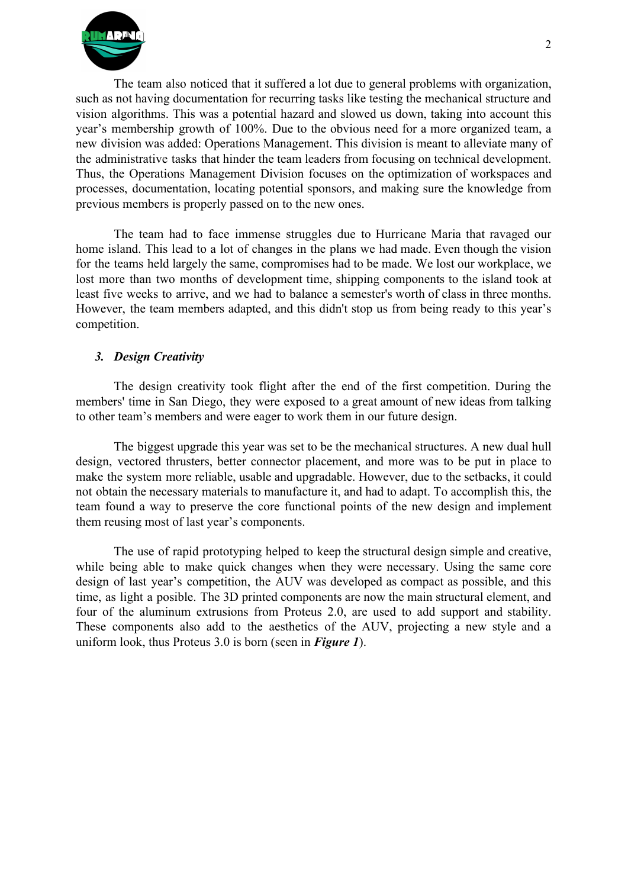

The team also noticed that it suffered a lot due to general problems with organization, such as not having documentation for recurring tasks like testing the mechanical structure and vision algorithms. This was a potential hazard and slowed us down, taking into account this year's membership growth of 100%. Due to the obvious need for a more organized team, a new division was added: Operations Management. This division is meant to alleviate many of the administrative tasks that hinder the team leaders from focusing on technical development. Thus, the Operations Management Division focuses on the optimization of workspaces and processes, documentation, locating potential sponsors, and making sure the knowledge from previous members is properly passed on to the new ones.

The team had to face immense struggles due to Hurricane Maria that ravaged our home island. This lead to a lot of changes in the plans we had made. Even though the vision for the teams held largely the same, compromises had to be made. We lost our workplace, we lost more than two months of development time, shipping components to the island took at least five weeks to arrive, and we had to balance a semester's worth of class in three months. However, the team members adapted, and this didn't stop us from being ready to this year's competition.

#### *3. Design Creativity*

The design creativity took flight after the end of the first competition. During the members' time in San Diego, they were exposed to a great amount of new ideas from talking to other team's members and were eager to work them in our future design.

The biggest upgrade this year was set to be the mechanical structures. A new dual hull design, vectored thrusters, better connector placement, and more was to be put in place to make the system more reliable, usable and upgradable. However, due to the setbacks, it could not obtain the necessary materials to manufacture it, and had to adapt. To accomplish this, the team found a way to preserve the core functional points of the new design and implement them reusing most of last year's components.

The use of rapid prototyping helped to keep the structural design simple and creative, while being able to make quick changes when they were necessary. Using the same core design of last year's competition, the AUV was developed as compact as possible, and this time, as light a posible. The 3D printed components are now the main structural element, and four of the aluminum extrusions from Proteus 2.0, are used to add support and stability. These components also add to the aesthetics of the AUV, projecting a new style and a uniform look, thus Proteus 3.0 is born (seen in *Figure 1*).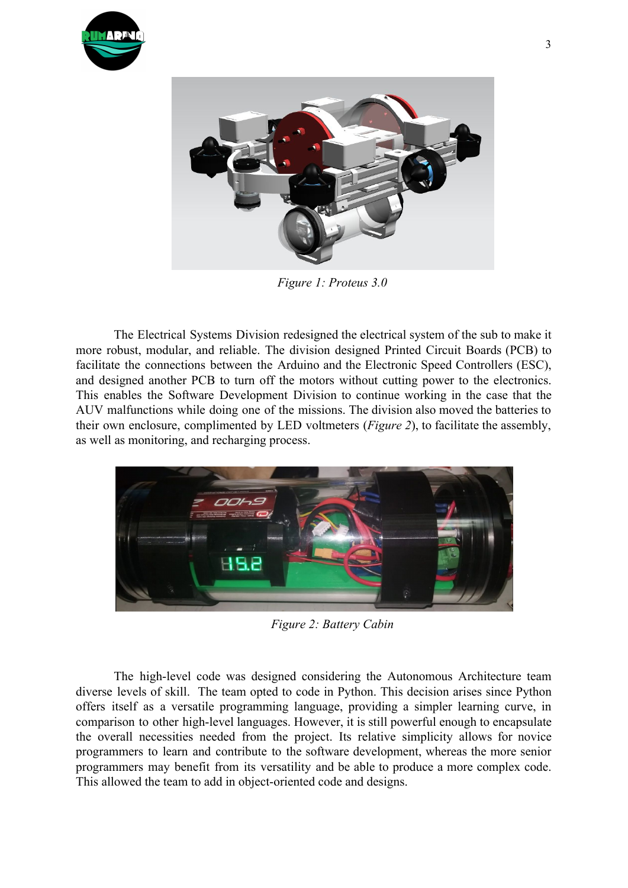



*Figure 1: Proteus 3.0*

The Electrical Systems Division redesigned the electrical system of the sub to make it more robust, modular, and reliable. The division designed Printed Circuit Boards (PCB) to facilitate the connections between the Arduino and the Electronic Speed Controllers (ESC), and designed another PCB to turn off the motors without cutting power to the electronics. This enables the Software Development Division to continue working in the case that the AUV malfunctions while doing one of the missions. The division also moved the batteries to their own enclosure, complimented by LED voltmeters (*Figure 2*), to facilitate the assembly, as well as monitoring, and recharging process.



*Figure 2: Battery Cabin*

The high-level code was designed considering the Autonomous Architecture team diverse levels of skill. The team opted to code in Python. This decision arises since Python offers itself as a versatile programming language, providing a simpler learning curve, in comparison to other high-level languages. However, it is still powerful enough to encapsulate the overall necessities needed from the project. Its relative simplicity allows for novice programmers to learn and contribute to the software development, whereas the more senior programmers may benefit from its versatility and be able to produce a more complex code. This allowed the team to add in object-oriented code and designs.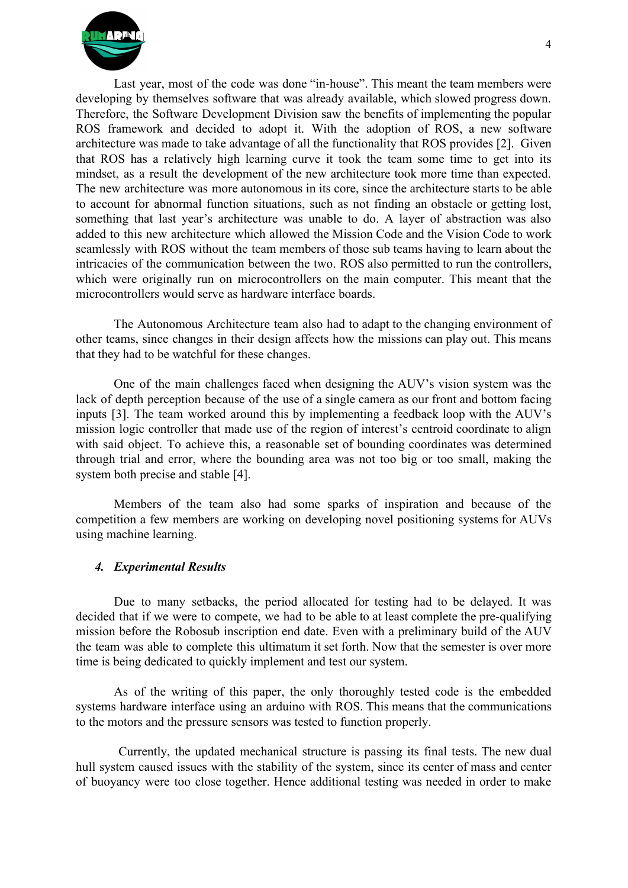

Last year, most of the code was done "in-house". This meant the team members were developing by themselves software that was already available, which slowed progress down. Therefore, the Software Development Division saw the benefits of implementing the popular ROS framework and decided to adopt it. With the adoption of ROS, a new software architecture was made to take advantage of all the functionality that ROS provides [2]. Given that ROS has a relatively high learning curve it took the team some time to get into its mindset, as a result the development of the new architecture took more time than expected. The new architecture was more autonomous in its core, since the architecture starts to be able to account for abnormal function situations, such as not finding an obstacle or getting lost, something that last year's architecture was unable to do. A layer of abstraction was also added to this new architecture which allowed the Mission Code and the Vision Code to work seamlessly with ROS without the team members of those sub teams having to learn about the intricacies of the communication between the two. ROS also permitted to run the controllers, which were originally run on microcontrollers on the main computer. This meant that the microcontrollers would serve as hardware interface boards.

The Autonomous Architecture team also had to adapt to the changing environment of other teams, since changes in their design affects how the missions can play out. This means that they had to be watchful for these changes.

One of the main challenges faced when designing the AUV's vision system was the lack of depth perception because of the use of a single camera as our front and bottom facing inputs [3]. The team worked around this by implementing a feedback loop with the AUV's mission logic controller that made use of the region of interest's centroid coordinate to align with said object. To achieve this, a reasonable set of bounding coordinates was determined through trial and error, where the bounding area was not too big or too small, making the system both precise and stable [4].

Members of the team also had some sparks of inspiration and because of the competition a few members are working on developing novel positioning systems for AUVs using machine learning.

#### *4. Experimental Results*

Due to many setbacks, the period allocated for testing had to be delayed. It was decided that if we were to compete, we had to be able to at least complete the pre-qualifying mission before the Robosub inscription end date. Even with a preliminary build of the AUV the team was able to complete this ultimatum it set forth. Now that the semester is over more time is being dedicated to quickly implement and test our system.

As of the writing of this paper, the only thoroughly tested code is the embedded systems hardware interface using an arduino with ROS. This means that the communications to the motors and the pressure sensors was tested to function properly.

Currently, the updated mechanical structure is passing its final tests. The new dual hull system caused issues with the stability of the system, since its center of mass and center of buoyancy were too close together. Hence additional testing was needed in order to make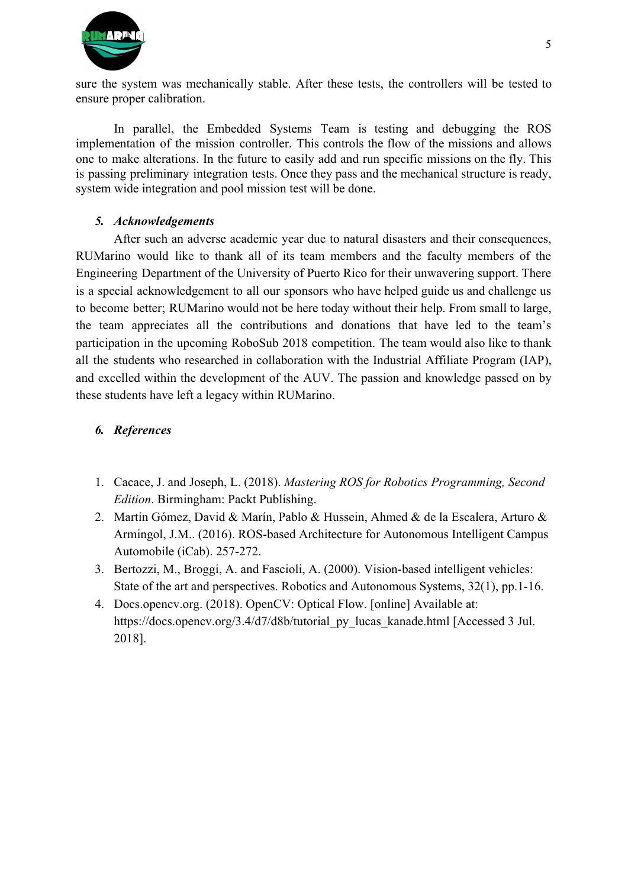

sure the system was mechanically stable. After these tests, the controllers will be tested to ensure proper calibration.

In parallel, the Embedded Systems Team is testing and debugging the ROS implementation of the mission controller. This controls the flow of the missions and allows one to make alterations. In the future to easily add and run specific missions on the fly. This is passing preliminary integration tests. Once they pass and the mechanical structure is ready, system wide integration and pool mission test will be done.

## *5. Acknowledgements*

After such an adverse academic year due to natural disasters and their consequences, RUMarino would like to thank all of its team members and the faculty members of the Engineering Department of the University of Puerto Rico for their unwavering support. There is a special acknowledgement to all our sponsors who have helped guide us and challenge us to become better; RUMarino would not be here today without their help. From small to large, the team appreciates all the contributions and donations that have led to the team's participation in the upcoming RoboSub 2018 competition. The team would also like to thank all the students who researched in collaboration with the Industrial Affiliate Program (IAP), and excelled within the development of the AUV. The passion and knowledge passed on by these students have left a legacy within RUMarino.

## *6. References*

- 1. Cacace, J. and Joseph, L. (2018). *Mastering ROS for Robotics Programming, Second Edition*. Birmingham: Packt Publishing.
- 2. Martín Gómez, David & Marín, Pablo & Hussein, Ahmed & de la Escalera, Arturo & Armingol, J.M.. (2016). ROS-based Architecture for Autonomous Intelligent Campus Automobile (iCab). 257-272.
- 3. Bertozzi, M., Broggi, A. and Fascioli, A. (2000). Vision-based intelligent vehicles: State of the art and perspectives. Robotics and Autonomous Systems, 32(1), pp.1-16.
- 4. Docs.opencv.org. (2018). OpenCV: Optical Flow. [online] Available at: https://docs.opencv.org/3.4/d7/d8b/tutorial\_py\_lucas\_kanade.html [Accessed 3 Jul. 2018].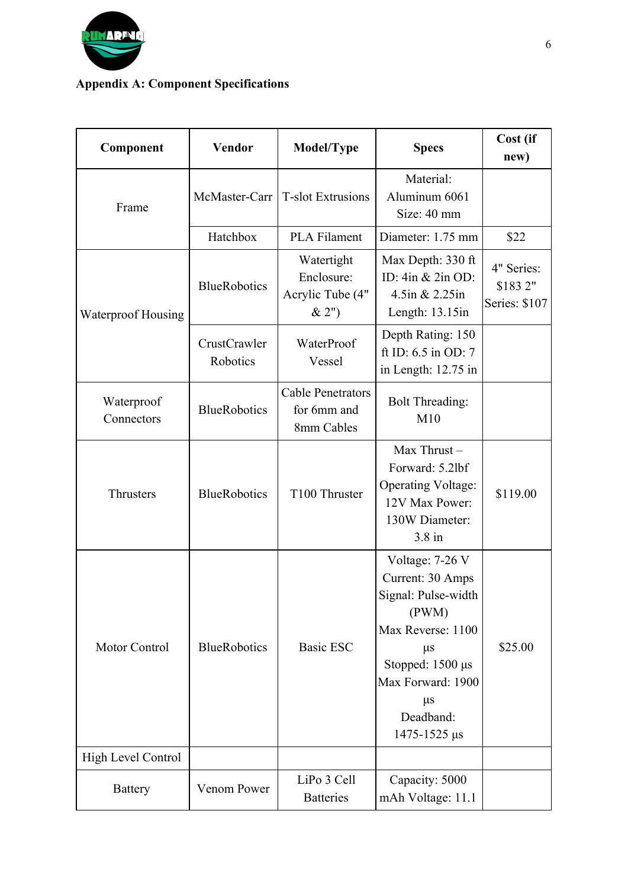

# **Appendix A: Component Specifications**

| Component                 | Vendor                   | Model/Type                                            | <b>Specs</b>                                                                                                                                                                         | Cost (if<br>new)                       |
|---------------------------|--------------------------|-------------------------------------------------------|--------------------------------------------------------------------------------------------------------------------------------------------------------------------------------------|----------------------------------------|
| Frame                     | McMaster-Carr            | <b>T-slot Extrusions</b>                              | Material:<br>Aluminum 6061<br>Size: 40 mm                                                                                                                                            |                                        |
|                           | Hatchbox                 | <b>PLA Filament</b>                                   | Diameter: 1.75 mm                                                                                                                                                                    | \$22                                   |
| <b>Waterproof Housing</b> | <b>BlueRobotics</b>      | Watertight<br>Enclosure:<br>Acrylic Tube (4"<br>& 2") | Max Depth: 330 ft<br>ID: $4in \& 2in OD$ :<br>4.5in & 2.25in<br>Length: 13.15in                                                                                                      | 4" Series:<br>\$1832"<br>Series: \$107 |
|                           | CrustCrawler<br>Robotics | WaterProof<br>Vessel                                  | Depth Rating: 150<br>ft ID: 6.5 in OD: 7<br>in Length: 12.75 in                                                                                                                      |                                        |
| Waterproof<br>Connectors  | <b>BlueRobotics</b>      | <b>Cable Penetrators</b><br>for 6mm and<br>8mm Cables | <b>Bolt Threading:</b><br>M10                                                                                                                                                        |                                        |
| Thrusters                 | <b>BlueRobotics</b>      | T100 Thruster                                         | Max Thrust-<br>Forward: 5.2lbf<br><b>Operating Voltage:</b><br>12V Max Power:<br>130W Diameter:<br>$3.8$ in                                                                          | \$119.00                               |
| <b>Motor Control</b>      | <b>BlueRobotics</b>      | <b>Basic ESC</b>                                      | Voltage: 7-26 V<br>Current: 30 Amps<br>Signal: Pulse-width<br>(PWM)<br>Max Reverse: 1100<br>$\mu s$<br>Stopped: 1500 µs<br>Max Forward: 1900<br>$\mu$ s<br>Deadband:<br>1475-1525 µs | \$25.00                                |
| High Level Control        |                          |                                                       |                                                                                                                                                                                      |                                        |
| <b>Battery</b>            | Venom Power              | LiPo 3 Cell<br><b>Batteries</b>                       | Capacity: 5000<br>mAh Voltage: 11.1                                                                                                                                                  |                                        |